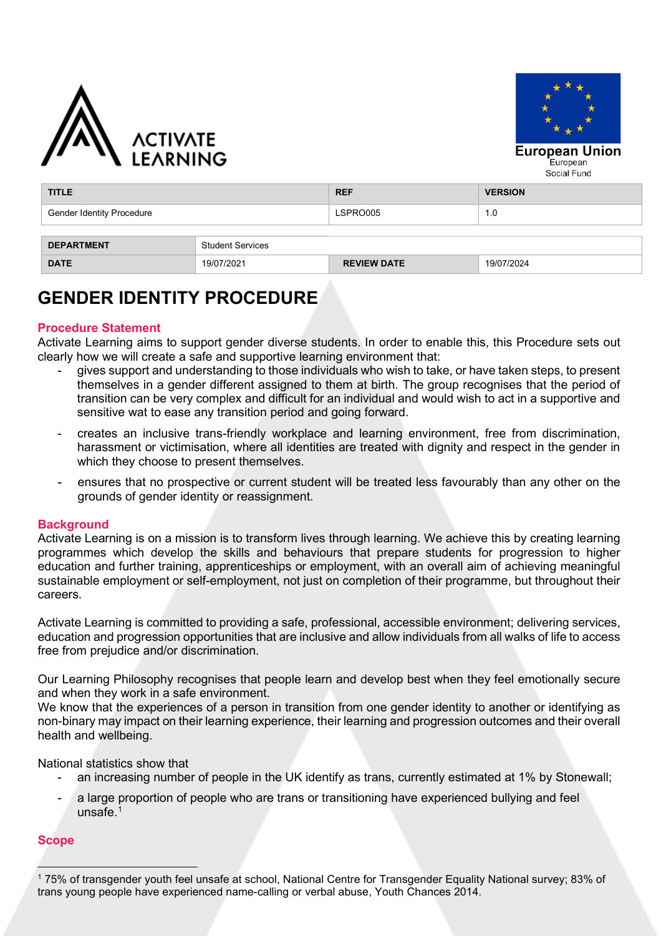



| <b>TITLE</b>                                 |            | <b>REF</b>         | <b>VERSION</b> |  |  |  |  |
|----------------------------------------------|------------|--------------------|----------------|--|--|--|--|
| <b>Gender Identity Procedure</b>             |            | LSPRO005           | 1.0            |  |  |  |  |
| <b>DEPARTMENT</b><br><b>Student Services</b> |            |                    |                |  |  |  |  |
| <b>DATE</b>                                  | 19/07/2021 | <b>REVIEW DATE</b> | 19/07/2024     |  |  |  |  |

# **GENDER IDENTITY PROCEDURE**

## **Procedure Statement**

Activate Learning aims to support gender diverse students. In order to enable this, this Procedure sets out clearly how we will create a safe and supportive learning environment that:

- gives support and understanding to those individuals who wish to take, or have taken steps, to present themselves in a gender different assigned to them at birth. The group recognises that the period of transition can be very complex and difficult for an individual and would wish to act in a supportive and sensitive wat to ease any transition period and going forward.
- creates an inclusive trans-friendly workplace and learning environment, free from discrimination, harassment or victimisation, where all identities are treated with dignity and respect in the gender in which they choose to present themselves.
- ensures that no prospective or current student will be treated less favourably than any other on the grounds of gender identity or reassignment.

#### **Background**

Activate Learning is on a mission is to transform lives through learning. We achieve this by creating learning programmes which develop the skills and behaviours that prepare students for progression to higher education and further training, apprenticeships or employment, with an overall aim of achieving meaningful sustainable employment or self-employment, not just on completion of their programme, but throughout their careers.

Activate Learning is committed to providing a safe, professional, accessible environment; delivering services, education and progression opportunities that are inclusive and allow individuals from all walks of life to access free from prejudice and/or discrimination.

Our Learning Philosophy recognises that people learn and develop best when they feel emotionally secure and when they work in a safe environment.

We know that the experiences of a person in transition from one gender identity to another or identifying as non-binary may impact on their learning experience, their learning and progression outcomes and their overall health and wellbeing.

National statistics show that

- an increasing number of people in the UK identify as trans, currently estimated at 1% by Stonewall;
- a large proportion of people who are trans or transitioning have experienced bullying and feel unsafe. [1](#page-0-0)

## **Scope**

<span id="page-0-0"></span><sup>1</sup> 75% of transgender youth feel unsafe at school, National Centre for Transgender Equality National survey; 83% of trans young people have experienced name-calling or verbal abuse, Youth Chances 2014.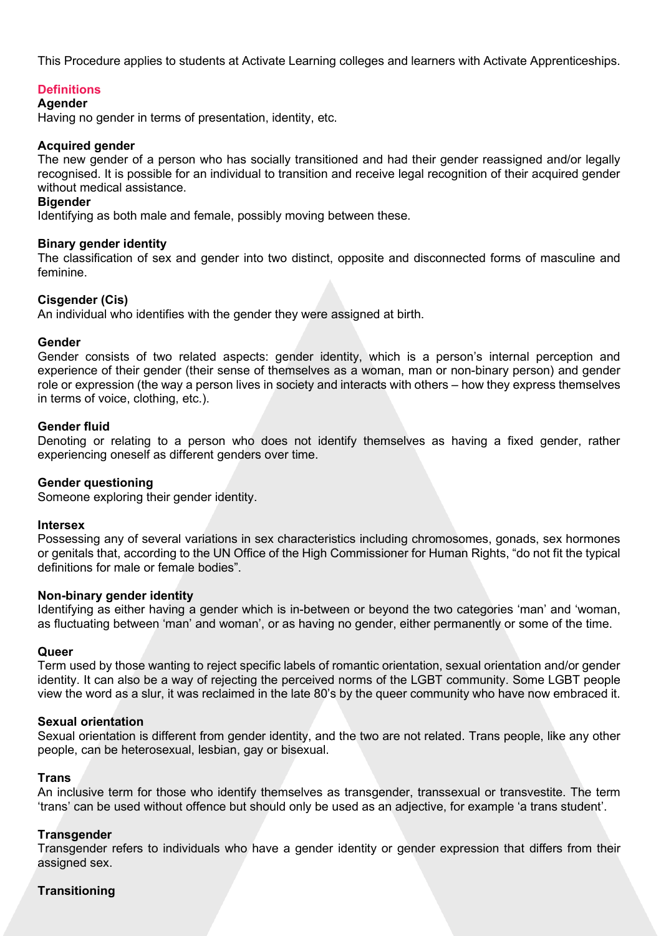This Procedure applies to students at Activate Learning colleges and learners with Activate Apprenticeships.

## **Definitions**

#### **Agender**

Having no gender in terms of presentation, identity, etc.

## **Acquired gender**

The new gender of a person who has socially transitioned and had their gender reassigned and/or legally recognised. It is possible for an individual to transition and receive legal recognition of their acquired gender without medical assistance.

#### **Bigender**

Identifying as both male and female, possibly moving between these.

#### **Binary gender identity**

The classification of sex and gender into two distinct, opposite and disconnected forms of masculine and feminine.

#### **Cisgender (Cis)**

An individual who identifies with the gender they were assigned at birth.

#### **Gender**

Gender consists of two related aspects: gender identity, which is a person's internal perception and experience of their gender (their sense of themselves as a woman, man or non-binary person) and gender role or expression (the way a person lives in society and interacts with others – how they express themselves in terms of voice, clothing, etc.).

#### **Gender fluid**

Denoting or relating to a person who does not identify themselves as having a fixed gender, rather experiencing oneself as different genders over time.

#### **Gender questioning**

Someone exploring their gender identity.

#### **Intersex**

Possessing any of several variations in sex characteristics including chromosomes, gonads, sex hormones or genitals that, according to the UN Office of the High Commissioner for Human Rights, "do not fit the typical definitions for male or female bodies".

#### **Non-binary gender identity**

Identifying as either having a gender which is in-between or beyond the two categories 'man' and 'woman, as fluctuating between 'man' and woman', or as having no gender, either permanently or some of the time.

#### **Queer**

Term used by those wanting to reject specific labels of romantic orientation, sexual orientation and/or gender identity. It can also be a way of rejecting the perceived norms of the LGBT community. Some LGBT people view the word as a slur, it was reclaimed in the late 80's by the queer community who have now embraced it.

#### **Sexual orientation**

Sexual orientation is different from gender identity, and the two are not related. Trans people, like any other people, can be heterosexual, lesbian, gay or bisexual.

#### **Trans**

An inclusive term for those who identify themselves as transgender, transsexual or transvestite. The term 'trans' can be used without offence but should only be used as an adjective, for example 'a trans student'.

#### **Transgender**

Transgender refers to individuals who have a gender identity or gender expression that differs from their assigned sex.

#### **Transitioning**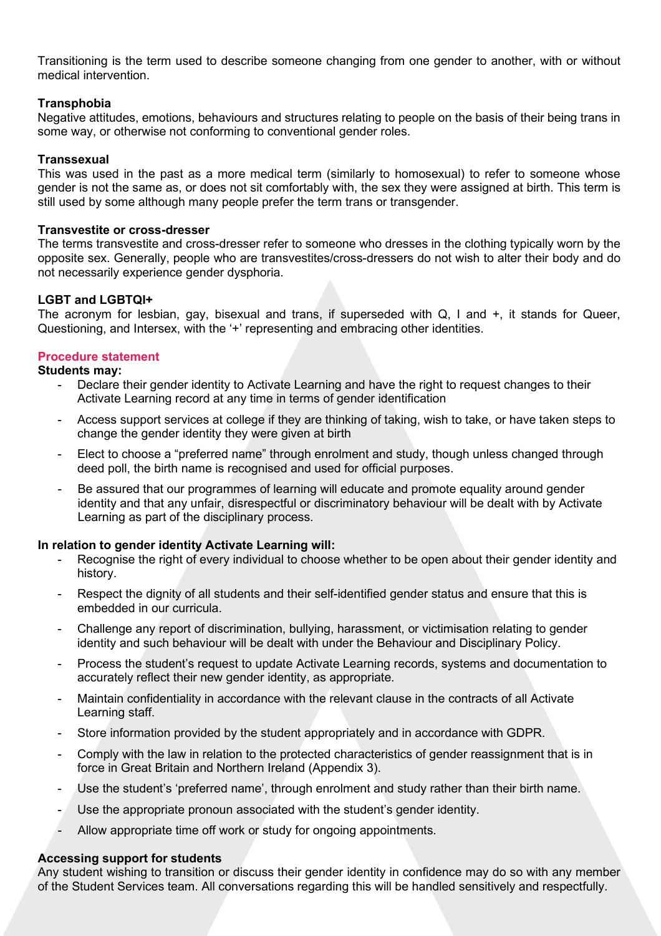Transitioning is the term used to describe someone changing from one gender to another, with or without medical intervention.

## **Transphobia**

Negative attitudes, emotions, behaviours and structures relating to people on the basis of their being trans in some way, or otherwise not conforming to conventional gender roles.

## **Transsexual**

This was used in the past as a more medical term (similarly to homosexual) to refer to someone whose gender is not the same as, or does not sit comfortably with, the sex they were assigned at birth. This term is still used by some although many people prefer the term trans or transgender.

### **Transvestite or cross-dresser**

The terms transvestite and cross-dresser refer to someone who dresses in the clothing typically worn by the opposite sex. Generally, people who are transvestites/cross-dressers do not wish to alter their body and do not necessarily experience gender dysphoria.

## **LGBT and LGBTQI+**

The acronym for lesbian, gay, bisexual and trans, if superseded with Q, I and +, it stands for Queer, Questioning, and Intersex, with the '+' representing and embracing other identities.

#### **Procedure statement**

#### **Students may:**

- Declare their gender identity to Activate Learning and have the right to request changes to their Activate Learning record at any time in terms of gender identification
- Access support services at college if they are thinking of taking, wish to take, or have taken steps to change the gender identity they were given at birth
- Elect to choose a "preferred name" through enrolment and study, though unless changed through deed poll, the birth name is recognised and used for official purposes.
- Be assured that our programmes of learning will educate and promote equality around gender identity and that any unfair, disrespectful or discriminatory behaviour will be dealt with by Activate Learning as part of the disciplinary process.

#### **In relation to gender identity Activate Learning will:**

- Recognise the right of every individual to choose whether to be open about their gender identity and history.
- Respect the dignity of all students and their self-identified gender status and ensure that this is embedded in our curricula.
- Challenge any report of discrimination, bullying, harassment, or victimisation relating to gender identity and such behaviour will be dealt with under the Behaviour and Disciplinary Policy.
- Process the student's request to update Activate Learning records, systems and documentation to accurately reflect their new gender identity, as appropriate.
- Maintain confidentiality in accordance with the relevant clause in the contracts of all Activate Learning staff.
- Store information provided by the student appropriately and in accordance with GDPR.
- Comply with the law in relation to the protected characteristics of gender reassignment that is in force in Great Britain and Northern Ireland (Appendix 3).
- Use the student's 'preferred name', through enrolment and study rather than their birth name.
- Use the appropriate pronoun associated with the student's gender identity.
- Allow appropriate time off work or study for ongoing appointments.

#### **Accessing support for students**

Any student wishing to transition or discuss their gender identity in confidence may do so with any member of the Student Services team. All conversations regarding this will be handled sensitively and respectfully.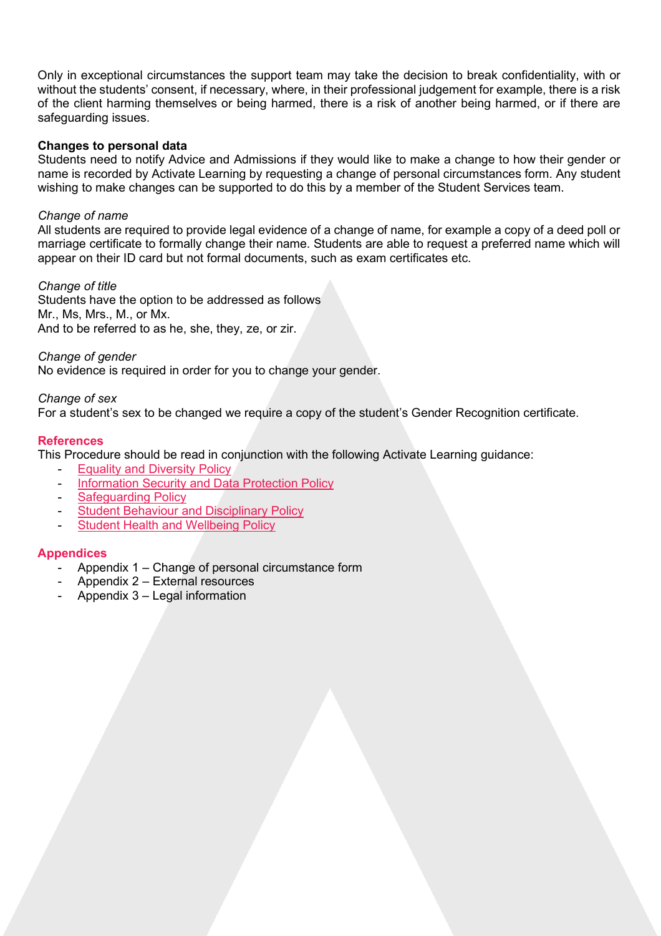Only in exceptional circumstances the support team may take the decision to break confidentiality, with or without the students' consent, if necessary, where, in their professional judgement for example, there is a risk of the client harming themselves or being harmed, there is a risk of another being harmed, or if there are safeguarding issues.

## **Changes to personal data**

Students need to notify Advice and Admissions if they would like to make a change to how their gender or name is recorded by Activate Learning by requesting a change of personal circumstances form. Any student wishing to make changes can be supported to do this by a member of the Student Services team.

## *Change of name*

All students are required to provide legal evidence of a change of name, for example a copy of a deed poll or marriage certificate to formally change their name. Students are able to request a preferred name which will appear on their ID card but not formal documents, such as exam certificates etc.

## *Change of title*

Students have the option to be addressed as follows Mr., Ms, Mrs., M., or Mx. And to be referred to as he, she, they, ze, or zir.

## *Change of gender*

No evidence is required in order for you to change your gender.

#### *Change of sex*

For a student's sex to be changed we require a copy of the student's Gender Recognition certificate.

## **References**

This Procedure should be read in conjunction with the following Activate Learning guidance:

- **[Equality and Diversity Policy](https://activatelearning.sharepoint.com/sites/Policies/Shared%20Documents/Equality%20and%20Diversity%20Policy.pdf)**
- [Information Security and Data Protection Policy](https://activatelearning.sharepoint.com/sites/Policies/Shared%20Documents/Information%20Security%20and%20Data%20Protection%20Policy.pdf)
- [Safeguarding Policy](https://activatelearning.sharepoint.com/sites/Policies/Shared%20Documents/Safeguarding%20Policy.pdf)
- **[Student Behaviour and Disciplinary Policy](https://activatelearning.sharepoint.com/sites/Policies/Shared%20Documents/Student%20Behaviour%20Disciplinary%20Policy.pdf?)**
- [Student Health and Wellbeing Policy](https://activatelearning.sharepoint.com/sites/Policies/Shared%20Documents/Student%20Health%20and%20Wellbeing%20Policy.pdf)

## **Appendices**

- Appendix 1 Change of personal circumstance form
- Appendix 2 External resources
- Appendix 3 Legal information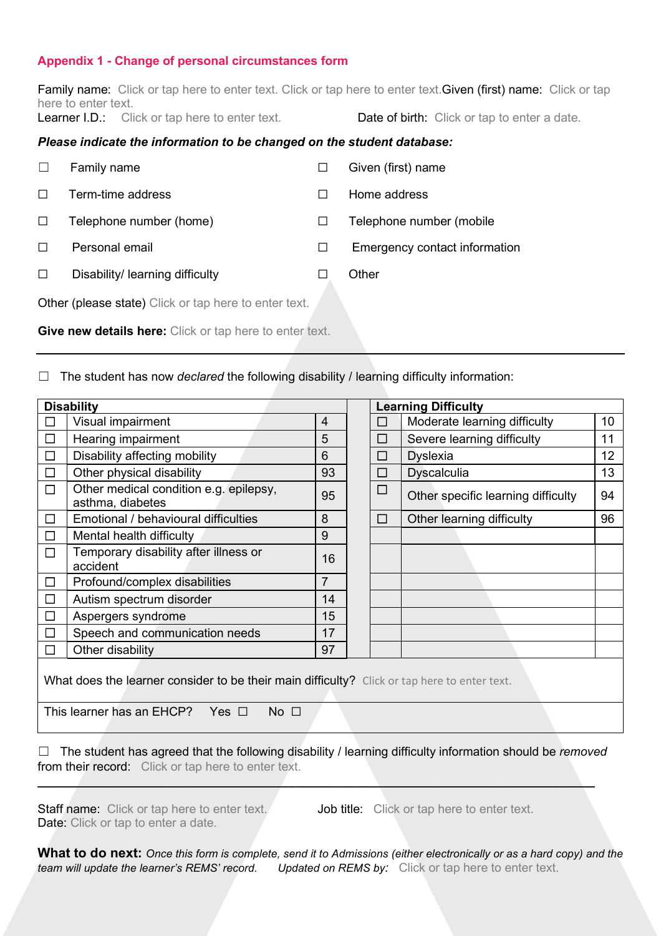## **Appendix 1 - Change of personal circumstances form**

Family name: Click or tap here to enter text. Click or tap here to enter text. Given (first) name: Click or tap here to enter text.

Learner I.D.: Click or tap here to enter text.

| Date of birth: Click or tap to enter a date |
|---------------------------------------------|
|---------------------------------------------|

## *Please indicate the information to be changed on the student database:*

|        | Family name                     | Given (first) name            |
|--------|---------------------------------|-------------------------------|
|        | Term-time address               | Home address                  |
| $\Box$ | Telephone number (home)         | Telephone number (mobile      |
|        | Personal email                  | Emergency contact information |
|        | Disability/ learning difficulty | Other                         |

Other (please state) Click or tap here to enter text.

**Give new details here:** Click or tap here to enter text.

☐ The student has now *declared* the following disability / learning difficulty information:

| <b>Disability</b>                                                                                                                                    |                                                            |                | <b>Learning Difficulty</b> |              |                                    |                 |  |  |
|------------------------------------------------------------------------------------------------------------------------------------------------------|------------------------------------------------------------|----------------|----------------------------|--------------|------------------------------------|-----------------|--|--|
| l 1                                                                                                                                                  | Visual impairment                                          | $\overline{4}$ |                            | □            | Moderate learning difficulty       | 10              |  |  |
| П                                                                                                                                                    | Hearing impairment                                         |                |                            | $\Box$       | Severe learning difficulty         | 11              |  |  |
| $\Box$                                                                                                                                               | Disability affecting mobility                              |                |                            | $\mathbf{L}$ | <b>Dyslexia</b>                    | 12 <sub>2</sub> |  |  |
| $\Box$                                                                                                                                               | Other physical disability                                  |                |                            | $\Box$       | Dyscalculia                        | 13              |  |  |
| П                                                                                                                                                    | Other medical condition e.g. epilepsy,<br>asthma, diabetes |                |                            | $\Box$       | Other specific learning difficulty | 94              |  |  |
| $\Box$                                                                                                                                               | Emotional / behavioural difficulties                       |                |                            | □            | Other learning difficulty          | 96              |  |  |
| $\Box$                                                                                                                                               | 9<br>Mental health difficulty                              |                |                            |              |                                    |                 |  |  |
| П                                                                                                                                                    | Temporary disability after illness or<br>accident          | 16             |                            |              |                                    |                 |  |  |
| □                                                                                                                                                    | Profound/complex disabilities                              |                |                            |              |                                    |                 |  |  |
| Autism spectrum disorder<br>$\Box$                                                                                                                   |                                                            | 14             |                            |              |                                    |                 |  |  |
| П                                                                                                                                                    | Aspergers syndrome                                         |                |                            |              |                                    |                 |  |  |
| П                                                                                                                                                    | Speech and communication needs                             |                |                            |              |                                    |                 |  |  |
| □                                                                                                                                                    | Other disability                                           | 97             |                            |              |                                    |                 |  |  |
| What does the learner consider to be their main difficulty? Click or tap here to enter text.<br>This learner has an EHCP? Yes $\Box$<br>No $\square$ |                                                            |                |                            |              |                                    |                 |  |  |

☐ The student has agreed that the following disability / learning difficulty information should be *removed* from their record: Click or tap here to enter text.

**\_\_\_\_\_\_\_\_\_\_\_\_\_\_\_\_\_\_\_\_\_\_\_\_\_\_\_\_\_\_\_\_\_\_\_\_\_\_\_\_\_\_\_\_\_\_\_\_\_\_\_\_\_\_\_\_\_\_\_\_\_\_\_\_\_\_\_\_\_\_\_\_\_\_\_\_\_\_\_\_\_\_**

Staff name: Click or tap here to enter text. Job title: Click or tap here to enter text. Date: Click or tap to enter a date.

**What to do next:** *Once this form is complete, send it to Admissions (either electronically or as a hard copy) and the team will update the learner's REMS' record. Updated on REMS by:* Click or tap here to enter text.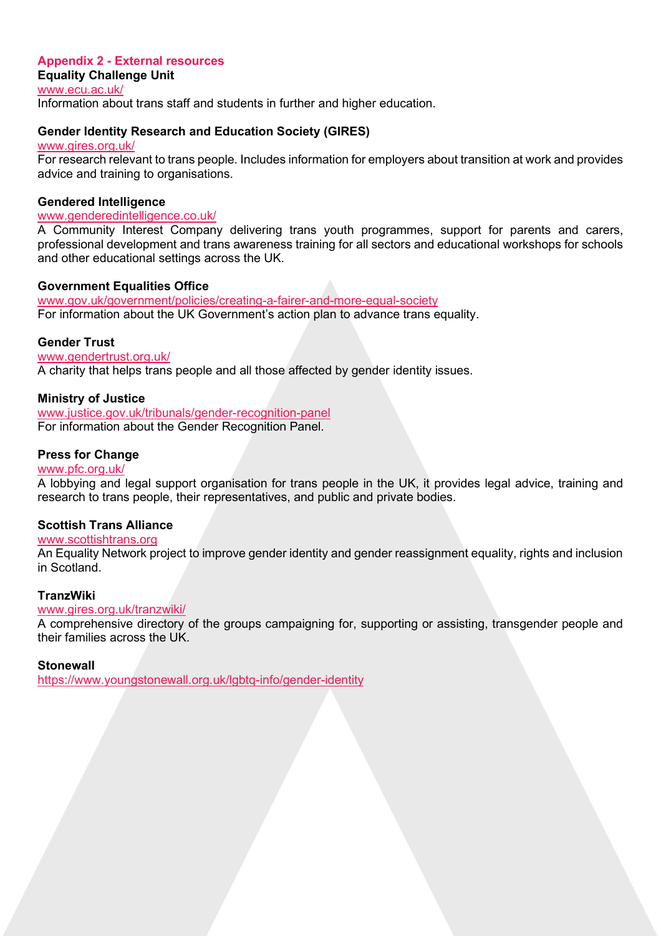# **Appendix 2 - External resources**

**Equality Challenge Unit** [www.ecu.ac.uk/](http://www.ecu.ac.uk/) Information about trans staff and students in further and higher education.

# **Gender Identity Research and Education Society (GIRES)**

[www.gires.org.uk/](http://www.gires.org.uk/) For research relevant to trans people. Includes information for employers about transition at work and provides advice and training to organisations.

# **Gendered Intelligence**

## [www.genderedintelligence.co.uk/](http://www.genderedintelligence.co.uk/)

A Community Interest Company delivering trans youth programmes, support for parents and carers, professional development and trans awareness training for all sectors and educational workshops for schools and other educational settings across the UK.

# **Government Equalities Office**

[www.gov.uk/government/policies/creating-a-fairer-and-more-equal-society](http://www.gov.uk/government/policies/creating-a-fairer-and-more-equal-society) For information about the UK Government's action plan to advance trans equality.

# **Gender Trust**

[www.gendertrust.org.uk/](http://www.gendertrust.org.uk/)

A charity that helps trans people and all those affected by gender identity issues.

# **Ministry of Justice**

[www.justice.gov.uk/tribunals/gender-recognition-panel](http://www.justice.gov.uk/tribunals/gender-recognition-panel) For information about the Gender Recognition Panel.

# **Press for Change**

## [www.pfc.org.uk/](http://www.pfc.org.uk/)

A lobbying and legal support organisation for trans people in the UK, it provides legal advice, training and research to trans people, their representatives, and public and private bodies.

## **Scottish Trans Alliance**

## [www.scottishtrans.org](http://www.scottishtrans.org/)

An Equality Network project to improve gender identity and gender reassignment equality, rights and inclusion in Scotland.

## **TranzWiki**

## [www.gires.org.uk/tranzwiki/](http://www.gires.org.uk/tranzwiki/)

A comprehensive directory of the groups campaigning for, supporting or assisting, transgender people and their families across the UK.

## **Stonewall**

<https://www.youngstonewall.org.uk/lgbtq-info/gender-identity>